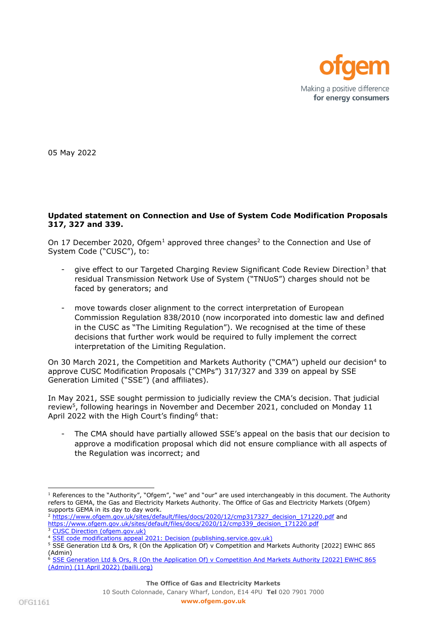

05 May 2022

## **Updated statement on Connection and Use of System Code Modification Proposals 317, 327 and 339.**

On 17 December 2020, Ofgem<sup>1</sup> approved three changes<sup>2</sup> to the Connection and Use of System Code ("CUSC"), to:

- give effect to our Targeted Charging Review Significant Code Review Direction<sup>3</sup> that residual Transmission Network Use of System ("TNUoS") charges should not be faced by generators; and
- move towards closer alignment to the correct interpretation of European Commission Regulation 838/2010 (now incorporated into domestic law and defined in the CUSC as "The Limiting Regulation"). We recognised at the time of these decisions that further work would be required to fully implement the correct interpretation of the Limiting Regulation.

On 30 March 2021, the Competition and Markets Authority ("CMA") upheld our decision<sup>4</sup> to approve CUSC Modification Proposals ("CMPs") 317/327 and 339 on appeal by SSE Generation Limited ("SSE") (and affiliates).

In May 2021, SSE sought permission to judicially review the CMA's decision. That judicial review<sup>5</sup>, following hearings in November and December 2021, concluded on Monday 11 April 2022 with the High Court's finding<sup>6</sup> that:

The CMA should have partially allowed SSE's appeal on the basis that our decision to approve a modification proposal which did not ensure compliance with all aspects of the Regulation was incorrect; and

 $1$  References to the "Authority", "Ofgem", "we" and "our" are used interchangeably in this document. The Authority refers to GEMA, the Gas and Electricity Markets Authority. The Office of Gas and Electricity Markets (Ofgem) supports GEMA in its day to day work.

<sup>&</sup>lt;sup>2</sup> [https://www.ofgem.gov.uk/sites/default/files/docs/2020/12/cmp317327\\_decision\\_171220.pdf](https://www.ofgem.gov.uk/sites/default/files/docs/2020/12/cmp317327_decision_171220.pdf) and [https://www.ofgem.gov.uk/sites/default/files/docs/2020/12/cmp339\\_decision\\_171220.pdf](https://www.ofgem.gov.uk/sites/default/files/docs/2020/12/cmp339_decision_171220.pdf)

<sup>&</sup>lt;sup>3</sup> [CUSC Direction \(ofgem.gov.uk\)](https://www.ofgem.gov.uk/sites/default/files/docs/2019/11/cusc_direction_1.pdf)

<sup>4</sup> [SSE code modifications appeal 2021: Decision \(publishing.service.gov.uk\)](https://assets.publishing.service.gov.uk/media/60632cd6d3bf7f0c8c97d9f2/SSE_v_GEMA____-.pdf)

<sup>&</sup>lt;sup>5</sup> SSE Generation Ltd & Ors, R (On the Application Of) v Competition and Markets Authority [2022] EWHC 865 (Admin)

<sup>&</sup>lt;sup>6</sup> SSE Generation Ltd & Ors, R (On the Application Of) v Competition And Markets Authority [2022] EWHC 865 [\(Admin\) \(11 April 2022\) \(bailii.org\)](https://www.bailii.org/ew/cases/EWHC/Admin/2022/865.html)